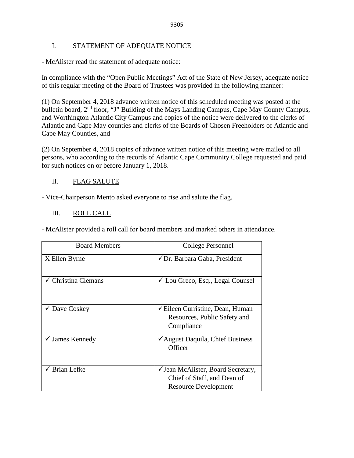## I. STATEMENT OF ADEQUATE NOTICE

- McAlister read the statement of adequate notice:

In compliance with the "Open Public Meetings" Act of the State of New Jersey, adequate notice of this regular meeting of the Board of Trustees was provided in the following manner:

(1) On September 4, 2018 advance written notice of this scheduled meeting was posted at the bulletin board, 2<sup>nd</sup> floor, "J" Building of the Mays Landing Campus, Cape May County Campus, and Worthington Atlantic City Campus and copies of the notice were delivered to the clerks of Atlantic and Cape May counties and clerks of the Boards of Chosen Freeholders of Atlantic and Cape May Counties, and

(2) On September 4, 2018 copies of advance written notice of this meeting were mailed to all persons, who according to the records of Atlantic Cape Community College requested and paid for such notices on or before January 1, 2018.

## II. FLAG SALUTE

- Vice-Chairperson Mento asked everyone to rise and salute the flag.

## III. ROLL CALL

- McAlister provided a roll call for board members and marked others in attendance.

| <b>Board Members</b>           | College Personnel                                                                                                 |
|--------------------------------|-------------------------------------------------------------------------------------------------------------------|
| X Ellen Byrne                  | ✔ Dr. Barbara Gaba, President                                                                                     |
| $\checkmark$ Christina Clemans | $\checkmark$ Lou Greco, Esq., Legal Counsel                                                                       |
| $\checkmark$ Dave Coskey       | <del></del> <del></del> <del>⊂</del> Eileen Curristine, Dean, Human<br>Resources, Public Safety and<br>Compliance |
| $\checkmark$ James Kennedy     | ✔ August Daquila, Chief Business<br>Officer                                                                       |
| <b>Brian Lefke</b>             | ✓ Jean McAlister, Board Secretary,<br>Chief of Staff, and Dean of<br>Resource Development                         |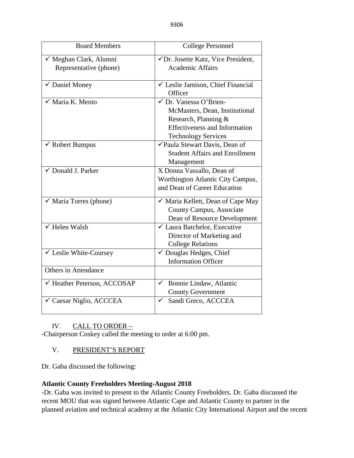| <b>Board Members</b>                | <b>College Personnel</b>                             |
|-------------------------------------|------------------------------------------------------|
| √ Meghan Clark, Alumni              | √Dr. Josette Katz, Vice President,                   |
| Representative (phone)              | <b>Academic Affairs</b>                              |
|                                     |                                                      |
| √ Daniel Money                      | $\sqrt{\phantom{a}}$ Leslie Jamison, Chief Financial |
|                                     | Officer                                              |
| $\sqrt{\phantom{a}}$ Maria K. Mento | √ Dr. Vanessa O'Brien-                               |
|                                     | McMasters, Dean, Institutional                       |
|                                     | Research, Planning &                                 |
|                                     | <b>Effectiveness and Information</b>                 |
|                                     | <b>Technology Services</b>                           |
| $\checkmark$ Robert Bumpus          | √Paula Stewart Davis, Dean of                        |
|                                     | <b>Student Affairs and Enrollment</b>                |
|                                     | Management                                           |
| ✓ Donald J. Parker                  | X Donna Vassallo, Dean of                            |
|                                     | Worthington Atlantic City Campus,                    |
|                                     | and Dean of Career Education                         |
| $\checkmark$ Maria Torres (phone)   | √ Maria Kellett, Dean of Cape May                    |
|                                     | <b>County Campus, Associate</b>                      |
|                                     | Dean of Resource Development                         |
| $\checkmark$ Helen Walsh            | ✓ Laura Batchelor, Executive                         |
|                                     | Director of Marketing and                            |
|                                     | <b>College Relations</b>                             |
| ✔ Leslie White-Coursey              | √ Douglas Hedges, Chief                              |
|                                     | <b>Information Officer</b>                           |
| Others in Attendance                |                                                      |
| ← Heather Peterson, ACCOSAP         | Bonnie Lindaw, Atlantic<br>$\checkmark$              |
|                                     | <b>County Government</b>                             |
| ✓ Caesar Niglio, ACCCEA             | Sandi Greco, ACCCEA<br>✓                             |
|                                     |                                                      |

## IV. CALL TO ORDER –

-Chairperson Coskey called the meeting to order at 6:00 pm.

## V. PRESIDENT'S REPORT

Dr. Gaba discussed the following:

## **Atlantic County Freeholders Meeting-August 2018**

-Dr. Gaba was invited to present to the Atlantic County Freeholders. Dr. Gaba discussed the recent MOU that was signed between Atlantic Cape and Atlantic County to partner in the planned aviation and technical academy at the Atlantic City International Airport and the recent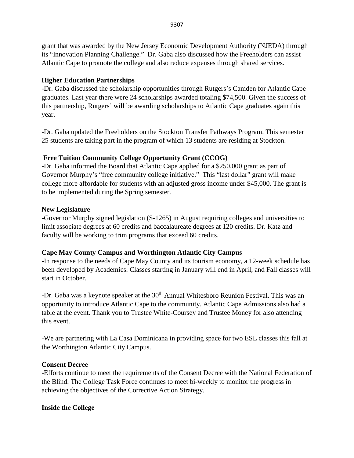grant that was awarded by the New Jersey Economic Development Authority (NJEDA) through its "Innovation Planning Challenge." Dr. Gaba also discussed how the Freeholders can assist Atlantic Cape to promote the college and also reduce expenses through shared services.

## **Higher Education Partnerships**

-Dr. Gaba discussed the scholarship opportunities through Rutgers's Camden for Atlantic Cape graduates. Last year there were 24 scholarships awarded totaling \$74,500. Given the success of this partnership, Rutgers' will be awarding scholarships to Atlantic Cape graduates again this year.

-Dr. Gaba updated the Freeholders on the Stockton Transfer Pathways Program. This semester 25 students are taking part in the program of which 13 students are residing at Stockton.

## **Free Tuition Community College Opportunity Grant (CCOG)**

-Dr. Gaba informed the Board that Atlantic Cape applied for a \$250,000 grant as part of Governor Murphy's "free community college initiative." This "last dollar" grant will make college more affordable for students with an adjusted gross income under \$45,000. The grant is to be implemented during the Spring semester.

## **New Legislature**

-Governor Murphy signed legislation (S-1265) in August requiring colleges and universities to limit associate degrees at 60 credits and baccalaureate degrees at 120 credits. Dr. Katz and faculty will be working to trim programs that exceed 60 credits.

## **Cape May County Campus and Worthington Atlantic City Campus**

-In response to the needs of Cape May County and its tourism economy, a 12-week schedule has been developed by Academics. Classes starting in January will end in April, and Fall classes will start in October.

-Dr. Gaba was a keynote speaker at the 30<sup>th</sup> Annual Whitesboro Reunion Festival. This was an opportunity to introduce Atlantic Cape to the community. Atlantic Cape Admissions also had a table at the event. Thank you to Trustee White-Coursey and Trustee Money for also attending this event.

-We are partnering with La Casa Dominicana in providing space for two ESL classes this fall at the Worthington Atlantic City Campus.

## **Consent Decree**

**-**Efforts continue to meet the requirements of the Consent Decree with the National Federation of the Blind. The College Task Force continues to meet bi-weekly to monitor the progress in achieving the objectives of the Corrective Action Strategy.

## **Inside the College**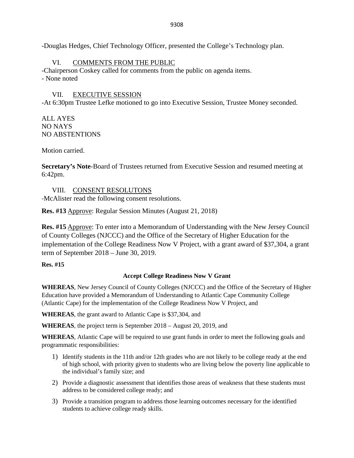-Douglas Hedges, Chief Technology Officer, presented the College's Technology plan.

# VI. COMMENTS FROM THE PUBLIC

-Chairperson Coskey called for comments from the public on agenda items. - None noted

# VII. EXECUTIVE SESSION

-At 6:30pm Trustee Lefke motioned to go into Executive Session, Trustee Money seconded.

ALL AYES NO NAYS NO ABSTENTIONS

Motion carried.

**Secretary's Note**-Board of Trustees returned from Executive Session and resumed meeting at 6:42pm.

## VIII. CONSENT RESOLUTONS

-McAlister read the following consent resolutions.

**Res. #13** Approve: Regular Session Minutes (August 21, 2018)

**Res. #15** Approve: To enter into a Memorandum of Understanding with the New Jersey Council of County Colleges (NJCCC) and the Office of the Secretary of Higher Education for the implementation of the College Readiness Now V Project, with a grant award of \$37,304, a grant term of September 2018 – June 30, 2019.

## **Res. #15**

## **Accept College Readiness Now V Grant**

**WHEREAS**, New Jersey Council of County Colleges (NJCCC) and the Office of the Secretary of Higher Education have provided a Memorandum of Understanding to Atlantic Cape Community College (Atlantic Cape) for the implementation of the College Readiness Now V Project, and

**WHEREAS**, the grant award to Atlantic Cape is \$37,304, and

**WHEREAS**, the project term is September 2018 – August 20, 2019, and

**WHEREAS**, Atlantic Cape will be required to use grant funds in order to meet the following goals and programmatic responsibilities:

- 1) Identify students in the 11th and/or 12th grades who are not likely to be college ready at the end of high school, with priority given to students who are living below the poverty line applicable to the individual's family size; and
- 2) Provide a diagnostic assessment that identifies those areas of weakness that these students must address to be considered college ready; and
- 3) Provide a transition program to address those learning outcomes necessary for the identified students to achieve college ready skills.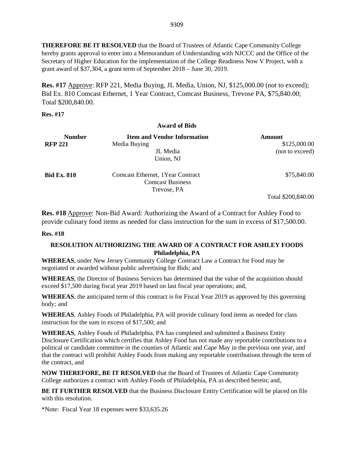**THEREFORE BE IT RESOLVED** that the Board of Trustees of Atlantic Cape Community College hereby grants approval to enter into a Memorandum of Understanding with NJCCC and the Office of the Secretary of Higher Education for the implementation of the College Readiness Now V Project, with a grant award of \$37,304, a grant term of September 2018 – June 30, 2019.

**Res. #17** Approve: RFP 221, Media Buying, JL Media, Union, NJ, \$125,000.00 (not to exceed); Bid Ex. 810 Comcast Ethernet, 1 Year Contract, Comcast Business, Trevose PA, \$75,840.00; Total \$200,840.00.

**Res. #17**

# **Award of Bids Number Item and Vendor Information Amount**<br>**RFP 221 Media Buving Media Buying 3125,000.00** \$125,000.00 JL Media (not to exceed) Union, NJ **Bid Ex. 810** Comcast Ethernet, 1Year Contract **\$75,840.00** \$75,840.00 Comcast Business Trevose, PA Total \$200,840.00

**Res. #18** Approve: Non-Bid Award: Authorizing the Award of a Contract for Ashley Food to provide culinary food items as needed for class instruction for the sum in excess of \$17,500.00.

## **Res. #18**

## **RESOLUTION AUTHORIZING THE AWARD OF A CONTRACT FOR ASHLEY FOODS Philadelphia, PA**

**WHEREAS**, under New Jersey Community College Contract Law a Contract for Food may be negotiated or awarded without public advertising for Bids; and

**WHEREAS**, the Director of Business Services has determined that the value of the acquisition should exceed \$17,500 during fiscal year 2019 based on last fiscal year operations; and,

**WHEREAS**, the anticipated term of this contract is for Fiscal Year 2019 as approved by this governing body*;* and

**WHEREAS**, Ashley Foods of Philadelphia, PA will provide culinary food items as needed for class instruction for the sum in excess of \$17,500; and

**WHEREAS**, Ashley Foods of Philadelphia, PA has completed and submitted a Business Entity Disclosure Certification which certifies that Ashley Food has not made any reportable contributions to a political or candidate committee in the counties of Atlantic and Cape May in the previous one year, and that the contract will prohibit Ashley Foods from making any reportable contributions through the term of the contract, and

**NOW THEREFORE, BE IT RESOLVED** that the Board of Trustees of Atlantic Cape Community College authorizes a contract with Ashley Foods of Philadelphia, PA as described herein; and,

**BE IT FURTHER RESOLVED** that the Business Disclosure Entity Certification will be placed on file with this resolution.

\*Note: Fiscal Year 18 expenses were \$33,635.26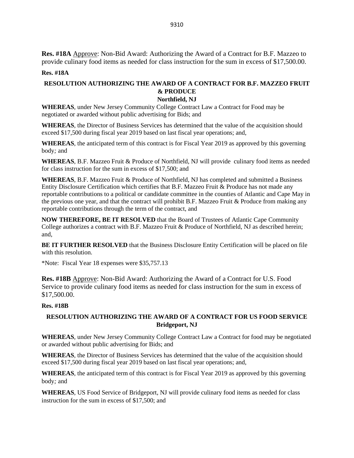**Res. #18A** Approve: Non-Bid Award: Authorizing the Award of a Contract for B.F. Mazzeo to provide culinary food items as needed for class instruction for the sum in excess of \$17,500.00.

#### **Res. #18A**

# **RESOLUTION AUTHORIZING THE AWARD OF A CONTRACT FOR B.F. MAZZEO FRUIT & PRODUCE**

#### **Northfield, NJ**

**WHEREAS**, under New Jersey Community College Contract Law a Contract for Food may be negotiated or awarded without public advertising for Bids; and

**WHEREAS**, the Director of Business Services has determined that the value of the acquisition should exceed \$17,500 during fiscal year 2019 based on last fiscal year operations; and,

**WHEREAS**, the anticipated term of this contract is for Fiscal Year 2019 as approved by this governing body*;* and

**WHEREAS**, B.F. Mazzeo Fruit & Produce of Northfield, NJ will provide culinary food items as needed for class instruction for the sum in excess of \$17,500; and

**WHEREAS**, B.F. Mazzeo Fruit & Produce of Northfield, NJ has completed and submitted a Business Entity Disclosure Certification which certifies that B.F. Mazzeo Fruit & Produce has not made any reportable contributions to a political or candidate committee in the counties of Atlantic and Cape May in the previous one year, and that the contract will prohibit B.F. Mazzeo Fruit & Produce from making any reportable contributions through the term of the contract, and

**NOW THEREFORE, BE IT RESOLVED** that the Board of Trustees of Atlantic Cape Community College authorizes a contract with B.F. Mazzeo Fruit & Produce of Northfield, NJ as described herein; and,

**BE IT FURTHER RESOLVED** that the Business Disclosure Entity Certification will be placed on file with this resolution.

\*Note: Fiscal Year 18 expenses were \$35,757.13

**Res. #18B** Approve: Non-Bid Award: Authorizing the Award of a Contract for U.S. Food Service to provide culinary food items as needed for class instruction for the sum in excess of \$17,500.00.

#### **Res. #18B**

## **RESOLUTION AUTHORIZING THE AWARD OF A CONTRACT FOR US FOOD SERVICE Bridgeport, NJ**

**WHEREAS**, under New Jersey Community College Contract Law a Contract for food may be negotiated or awarded without public advertising for Bids; and

**WHEREAS**, the Director of Business Services has determined that the value of the acquisition should exceed \$17,500 during fiscal year 2019 based on last fiscal year operations; and,

**WHEREAS**, the anticipated term of this contract is for Fiscal Year 2019 as approved by this governing body*;* and

**WHEREAS**, US Food Service of Bridgeport, NJ will provide culinary food items as needed for class instruction for the sum in excess of \$17,500; and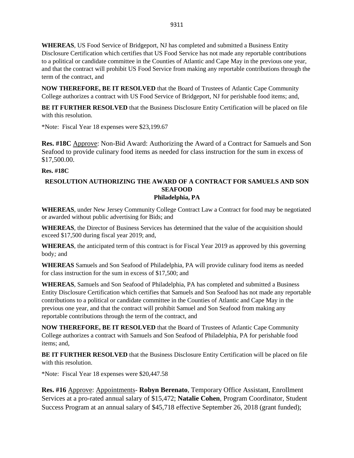**WHEREAS**, US Food Service of Bridgeport, NJ has completed and submitted a Business Entity Disclosure Certification which certifies that US Food Service has not made any reportable contributions to a political or candidate committee in the Counties of Atlantic and Cape May in the previous one year, and that the contract will prohibit US Food Service from making any reportable contributions through the term of the contract, and

**NOW THEREFORE, BE IT RESOLVED** that the Board of Trustees of Atlantic Cape Community College authorizes a contract with US Food Service of Bridgeport, NJ for perishable food items; and,

**BE IT FURTHER RESOLVED** that the Business Disclosure Entity Certification will be placed on file with this resolution.

\*Note: Fiscal Year 18 expenses were \$23,199.67

**Res. #18C** Approve: Non-Bid Award: Authorizing the Award of a Contract for Samuels and Son Seafood to provide culinary food items as needed for class instruction for the sum in excess of \$17,500.00.

#### **Res. #18C**

### **RESOLUTION AUTHORIZING THE AWARD OF A CONTRACT FOR SAMUELS AND SON SEAFOOD Philadelphia, PA**

**WHEREAS**, under New Jersey Community College Contract Law a Contract for food may be negotiated or awarded without public advertising for Bids; and

**WHEREAS**, the Director of Business Services has determined that the value of the acquisition should exceed \$17,500 during fiscal year 2019; and,

**WHEREAS**, the anticipated term of this contract is for Fiscal Year 2019 as approved by this governing body*;* and

**WHEREAS** Samuels and Son Seafood of Philadelphia, PA will provide culinary food items as needed for class instruction for the sum in excess of \$17,500; and

**WHEREAS**, Samuels and Son Seafood of Philadelphia, PA has completed and submitted a Business Entity Disclosure Certification which certifies that Samuels and Son Seafood has not made any reportable contributions to a political or candidate committee in the Counties of Atlantic and Cape May in the previous one year, and that the contract will prohibit Samuel and Son Seafood from making any reportable contributions through the term of the contract, and

**NOW THEREFORE, BE IT RESOLVED** that the Board of Trustees of Atlantic Cape Community College authorizes a contract with Samuels and Son Seafood of Philadelphia, PA for perishable food items; and,

**BE IT FURTHER RESOLVED** that the Business Disclosure Entity Certification will be placed on file with this resolution.

\*Note: Fiscal Year 18 expenses were \$20,447.58

**Res. #16** Approve: Appointments- **Robyn Berenato**, Temporary Office Assistant, Enrollment Services at a pro-rated annual salary of \$15,472; **Natalie Cohen**, Program Coordinator, Student Success Program at an annual salary of \$45,718 effective September 26, 2018 (grant funded);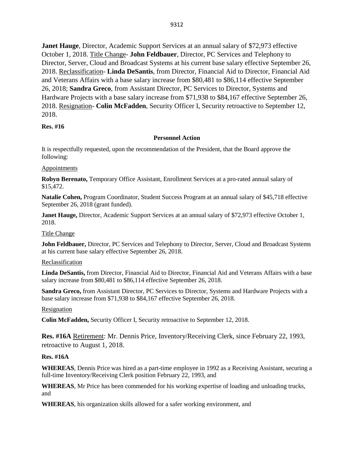**Janet Hauge**, Director, Academic Support Services at an annual salary of \$72,973 effective October 1, 2018. Title Change- **John Feldbauer**, Director, PC Services and Telephony to Director, Server, Cloud and Broadcast Systems at his current base salary effective September 26, 2018. Reclassification- **Linda DeSantis**, from Director, Financial Aid to Director, Financial Aid and Veterans Affairs with a base salary increase from \$80,481 to \$86,114 effective September 26, 2018; **Sandra Greco**, from Assistant Director, PC Services to Director, Systems and Hardware Projects with a base salary increase from \$71,938 to \$84,167 effective September 26, 2018. Resignation- **Colin McFadden**, Security Officer I, Security retroactive to September 12, 2018.

#### **Res. #16**

#### **Personnel Action**

It is respectfully requested, upon the recommendation of the President, that the Board approve the following:

#### **Appointments**

**Robyn Berenato,** Temporary Office Assistant, Enrollment Services at a pro-rated annual salary of \$15,472.

**Natalie Cohen,** Program Coordinator, Student Success Program at an annual salary of \$45,718 effective September 26, 2018 (grant funded).

**Janet Hauge,** Director, Academic Support Services at an annual salary of \$72,973 effective October 1, 2018.

## Title Change

**John Feldbauer,** Director, PC Services and Telephony to Director, Server, Cloud and Broadcast Systems at his current base salary effective September 26, 2018.

#### Reclassification

**Linda DeSantis,** from Director, Financial Aid to Director, Financial Aid and Veterans Affairs with a base salary increase from \$80,481 to \$86,114 effective September 26, 2018.

**Sandra Greco,** from Assistant Director, PC Services to Director, Systems and Hardware Projects with a base salary increase from \$71,938 to \$84,167 effective September 26, 2018.

#### Resignation

**Colin McFadden,** Security Officer I, Security retroactive to September 12, 2018.

**Res. #16A** Retirement: Mr. Dennis Price, Inventory/Receiving Clerk, since February 22, 1993, retroactive to August 1, 2018.

#### **Res. #16A**

**WHEREAS**, Dennis Price was hired as a part-time employee in 1992 as a Receiving Assistant, securing a full-time Inventory/Receiving Clerk position February 22, 1993, and

**WHEREAS**, Mr Price has been commended for his working expertise of loading and unloading trucks, and

**WHEREAS**, his organization skills allowed for a safer working environment, and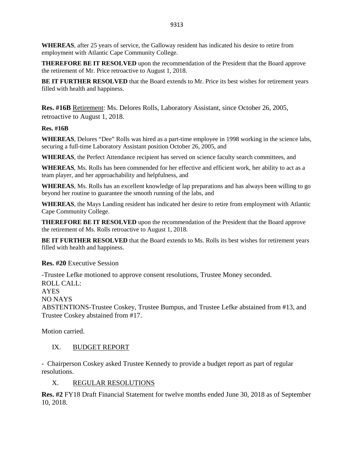**WHEREAS**, after 25 years of service, the Galloway resident has indicated his desire to retire from employment with Atlantic Cape Community College.

**THEREFORE BE IT RESOLVED** upon the recommendation of the President that the Board approve the retirement of Mr. Price retroactive to August 1, 2018.

**BE IT FURTHER RESOLVED** that the Board extends to Mr. Price its best wishes for retirement years filled with health and happiness.

**Res. #16B** Retirement: Ms. Delores Rolls, Laboratory Assistant, since October 26, 2005, retroactive to August 1, 2018.

#### **Res. #16B**

**WHEREAS**, Delores "Dee" Rolls was hired as a part-time employee in 1998 working in the science labs, securing a full-time Laboratory Assistant position October 26, 2005, and

**WHEREAS**, the Perfect Attendance recipient has served on science faculty search committees, and

**WHEREAS**, Ms. Rolls has been commended for her effective and efficient work, her ability to act as a team player, and her approachability and helpfulness, and

**WHEREAS**, Ms. Rolls has an excellent knowledge of lap preparations and has always been willing to go beyond her routine to guarantee the smooth running of the labs, and

**WHEREAS**, the Mays Landing resident has indicated her desire to retire from employment with Atlantic Cape Community College.

**THEREFORE BE IT RESOLVED** upon the recommendation of the President that the Board approve the retirement of Ms. Rolls retroactive to August 1, 2018.

**BE IT FURTHER RESOLVED** that the Board extends to Ms. Rolls its best wishes for retirement years filled with health and happiness.

## **Res. #20** Executive Session

-Trustee Lefke motioned to approve consent resolutions, Trustee Money seconded. ROLL CALL: AYES NO NAYS ABSTENTIONS-Trustee Coskey, Trustee Bumpus, and Trustee Lefke abstained from #13, and Trustee Coskey abstained from #17.

Motion carried.

## IX. BUDGET REPORT

- Chairperson Coskey asked Trustee Kennedy to provide a budget report as part of regular resolutions.

## X. REGULAR RESOLUTIONS

**Res. #2** FY18 Draft Financial Statement for twelve months ended June 30, 2018 as of September 10, 2018.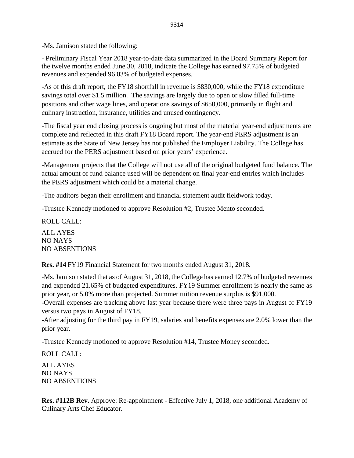-Ms. Jamison stated the following:

- Preliminary Fiscal Year 2018 year-to-date data summarized in the Board Summary Report for the twelve months ended June 30, 2018, indicate the College has earned 97.75% of budgeted revenues and expended 96.03% of budgeted expenses.

-As of this draft report, the FY18 shortfall in revenue is \$830,000, while the FY18 expenditure savings total over \$1.5 million. The savings are largely due to open or slow filled full-time positions and other wage lines, and operations savings of \$650,000, primarily in flight and culinary instruction, insurance, utilities and unused contingency.

-The fiscal year end closing process is ongoing but most of the material year-end adjustments are complete and reflected in this draft FY18 Board report. The year-end PERS adjustment is an estimate as the State of New Jersey has not published the Employer Liability. The College has accrued for the PERS adjustment based on prior years' experience.

-Management projects that the College will not use all of the original budgeted fund balance. The actual amount of fund balance used will be dependent on final year-end entries which includes the PERS adjustment which could be a material change.

-The auditors began their enrollment and financial statement audit fieldwork today.

-Trustee Kennedy motioned to approve Resolution #2, Trustee Mento seconded.

ROLL CALL: ALL AYES NO NAYS NO ABSENTIONS

**Res. #14** FY19 Financial Statement for two months ended August 31, 2018.

-Ms. Jamison stated that as of August 31, 2018, the College has earned 12.7% of budgeted revenues and expended 21.65% of budgeted expenditures. FY19 Summer enrollment is nearly the same as prior year, or 5.0% more than projected. Summer tuition revenue surplus is \$91,000.

-Overall expenses are tracking above last year because there were three pays in August of FY19 versus two pays in August of FY18.

-After adjusting for the third pay in FY19, salaries and benefits expenses are 2.0% lower than the prior year.

-Trustee Kennedy motioned to approve Resolution #14, Trustee Money seconded.

ROLL CALL:

ALL AYES NO NAYS NO ABSENTIONS

**Res. #112B Rev.** Approve: Re-appointment - Effective July 1, 2018, one additional Academy of Culinary Arts Chef Educator.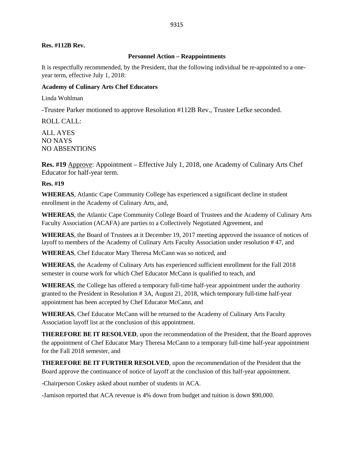#### **Res. #112B Rev.**

#### **Personnel Action – Reappointments**

It is respectfully recommended, by the President, that the following individual be re-appointed to a oneyear term, effective July 1, 2018:

#### **Academy of Culinary Arts Chef Educators**

Linda Wohlman

-Trustee Parker motioned to approve Resolution #112B Rev., Trustee Lefke seconded.

ROLL CALL:

ALL AYES NO NAYS NO ABSENTIONS

**Res. #19** Approve: Appointment – Effective July 1, 2018, one Academy of Culinary Arts Chef Educator for half-year term.

#### **Res. #19**

**WHEREAS**, Atlantic Cape Community College has experienced a significant decline in student enrollment in the Academy of Culinary Arts, and,

**WHEREAS**, the Atlantic Cape Community College Board of Trustees and the Academy of Culinary Arts Faculty Association (ACAFA) are parties to a Collectively Negotiated Agreement, and

**WHEREAS**, the Board of Trustees at it December 19, 2017 meeting approved the issuance of notices of layoff to members of the Academy of Culinary Arts Faculty Association under resolution # 47, and

**WHEREAS**, Chef Educator Mary Theresa McCann was so noticed, and

**WHEREAS**, the Academy of Culinary Arts has experienced sufficient enrollment for the Fall 2018 semester in course work for which Chef Educator McCann is qualified to teach, and

**WHEREAS**, the College has offered a temporary full-time half-year appointment under the authority granted to the President in Resolution # 3A, August 21, 2018, which temporary full-time half-year appointment has been accepted by Chef Educator McCann, and

**WHEREAS**, Chef Educator McCann will be returned to the Academy of Culinary Arts Faculty Association layoff list at the conclusion of this appointment.

**THEREFORE BE IT RESOLVED**, upon the recommendation of the President, that the Board approves the appointment of Chef Educator Mary Theresa McCann to a temporary full-time half-year appointment for the Fall 2018 semester, and

**THEREFORE BE IT FURTHER RESOLVED**, upon the recommendation of the President that the Board approve the continuance of notice of layoff at the conclusion of this half-year appointment.

-Chairperson Coskey asked about number of students in ACA.

-Jamison reported that ACA revenue is 4% down from budget and tuition is down \$90,000.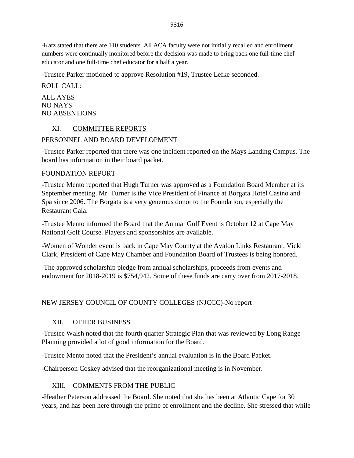-Katz stated that there are 110 students. All ACA faculty were not initially recalled and enrollment numbers were continually monitored before the decision was made to bring back one full-time chef educator and one full-time chef educator for a half a year.

-Trustee Parker motioned to approve Resolution #19, Trustee Lefke seconded.

ROLL CALL: ALL AYES NO NAYS NO ABSENTIONS

# XI. COMMITTEE REPORTS

# PERSONNEL AND BOARD DEVELOPMENT

-Trustee Parker reported that there was one incident reported on the Mays Landing Campus. The board has information in their board packet.

# FOUNDATION REPORT

-Trustee Mento reported that Hugh Turner was approved as a Foundation Board Member at its September meeting. Mr. Turner is the Vice President of Finance at Borgata Hotel Casino and Spa since 2006. The Borgata is a very generous donor to the Foundation, especially the Restaurant Gala.

-Trustee Mento informed the Board that the Annual Golf Event is October 12 at Cape May National Golf Course. Players and sponsorships are available.

-Women of Wonder event is back in Cape May County at the Avalon Links Restaurant. Vicki Clark, President of Cape May Chamber and Foundation Board of Trustees is being honored.

-The approved scholarship pledge from annual scholarships, proceeds from events and endowment for 2018-2019 is \$754,942. Some of these funds are carry over from 2017-2018.

# NEW JERSEY COUNCIL OF COUNTY COLLEGES (NJCCC)-No report

# XII. OTHER BUSINESS

-Trustee Walsh noted that the fourth quarter Strategic Plan that was reviewed by Long Range Planning provided a lot of good information for the Board.

-Trustee Mento noted that the President's annual evaluation is in the Board Packet.

-Chairperson Coskey advised that the reorganizational meeting is in November.

# XIII. COMMENTS FROM THE PUBLIC

-Heather Peterson addressed the Board. She noted that she has been at Atlantic Cape for 30 years, and has been here through the prime of enrollment and the decline. She stressed that while